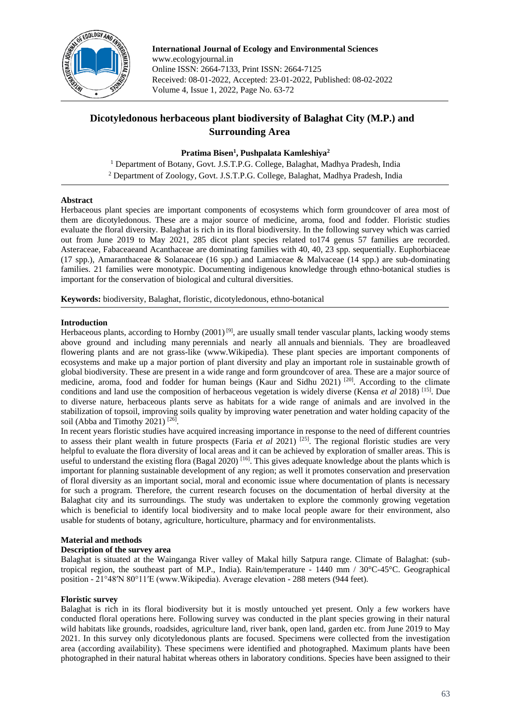

**International Journal of Ecology and Environmental Sciences** www.ecologyjournal.in Online ISSN: 2664-7133, Print ISSN: 2664-7125 Received: 08-01-2022, Accepted: 23-01-2022, Published: 08-02-2022 Volume 4, Issue 1, 2022, Page No. 63-72

# **Dicotyledonous herbaceous plant biodiversity of Balaghat City (M.P.) and Surrounding Area**

## **Pratima Bisen<sup>1</sup> , Pushpalata Kamleshiya<sup>2</sup>**

<sup>1</sup> Department of Botany, Govt. J.S.T.P.G. College, Balaghat, Madhya Pradesh, India <sup>2</sup> Department of Zoology, Govt. J.S.T.P.G. College, Balaghat, Madhya Pradesh, India

## **Abstract**

Herbaceous plant species are important components of ecosystems which form groundcover of area most of them are dicotyledonous. These are a major source of medicine, aroma, food and fodder. Floristic studies evaluate the floral diversity. Balaghat is rich in its floral biodiversity. In the following survey which was carried out from June 2019 to May 2021, 285 dicot plant species related to174 genus 57 families are recorded. Asteraceae, Fabaceaeand Acanthaceae are dominating families with 40, 40, 23 spp. sequentially. Euphorbiaceae (17 spp.), Amaranthaceae & Solanaceae (16 spp.) and Lamiaceae & Malvaceae (14 spp.) are sub-dominating families. 21 families were monotypic. Documenting indigenous knowledge through ethno-botanical studies is important for the conservation of biological and cultural diversities.

**Keywords:** biodiversity, Balaghat, floristic, dicotyledonous, ethno-botanical

#### **Introduction**

Herbaceous plants, according to Hornby  $(2001)^{9}$ , are usually small tender vascular plants, lacking woody stems above ground and including many perennials and nearly all annuals and biennials. They are broadleaved flowering plants and are not grass-like (www.Wikipedia). These plant species are important components of ecosystems and make up a major portion of plant diversity and play an important role in sustainable growth of global biodiversity. These are present in a wide range and form groundcover of area. These are a major source of medicine, aroma, food and fodder for human beings (Kaur and Sidhu 2021)<sup>[20]</sup>. According to the climate conditions and land use the composition of herbaceous vegetation is widely diverse (Kensa *et al* 2018) [15]. Due to diverse nature, herbaceous plants serve as habitats for a wide range of animals and are involved in the stabilization of topsoil, improving soils quality by improving water penetration and water holding capacity of the soil (Abba and Timothy 2021)<sup>[26]</sup>.

In recent years floristic studies have acquired increasing importance in response to the need of different countries to assess their plant wealth in future prospects (Faria *et al* 2021) [25]. The regional floristic studies are very helpful to evaluate the flora diversity of local areas and it can be achieved by exploration of smaller areas. This is useful to understand the existing flora (Bagal 2020) <sup>[16]</sup>. This gives adequate knowledge about the plants which is important for planning sustainable development of any region; as well it promotes conservation and preservation of floral diversity as an important social, moral and economic issue where documentation of plants is necessary for such a program. Therefore, the current research focuses on the documentation of herbal diversity at the Balaghat city and its surroundings. The study was undertaken to explore the commonly growing vegetation which is beneficial to identify local biodiversity and to make local people aware for their environment, also usable for students of botany, agriculture, horticulture, pharmacy and for environmentalists.

## **Material and methods**

## **Description of the survey area**

Balaghat is situated at the Wainganga River valley of Makal hilly Satpura range. Climate of Balaghat: (subtropical region, the southeast part of M.P., India). Rain/temperature - 1440 mm / 30°C-45°C. Geographical position - 21°48′N 80°11′E (www.Wikipedia). Average elevation - 288 meters (944 feet).

## **Floristic survey**

Balaghat is rich in its floral biodiversity but it is mostly untouched yet present. Only a few workers have conducted floral operations here. Following survey was conducted in the plant species growing in their natural wild habitats like grounds, roadsides, agriculture land, river bank, open land, garden etc. from June 2019 to May 2021. In this survey only dicotyledonous plants are focused. Specimens were collected from the investigation area (according availability). These specimens were identified and photographed. Maximum plants have been photographed in their natural habitat whereas others in laboratory conditions. Species have been assigned to their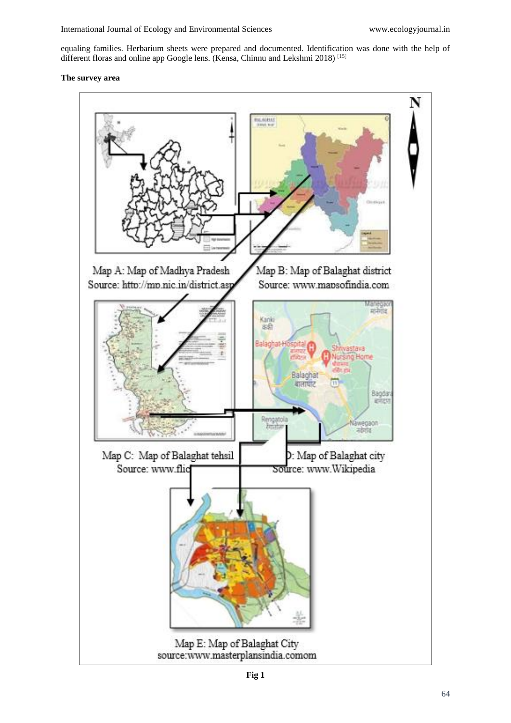equaling families. Herbarium sheets were prepared and documented. Identification was done with the help of different floras and online app Google lens. (Kensa, Chinnu and Lekshmi 2018)<sup>[15]</sup>

## **The survey area**

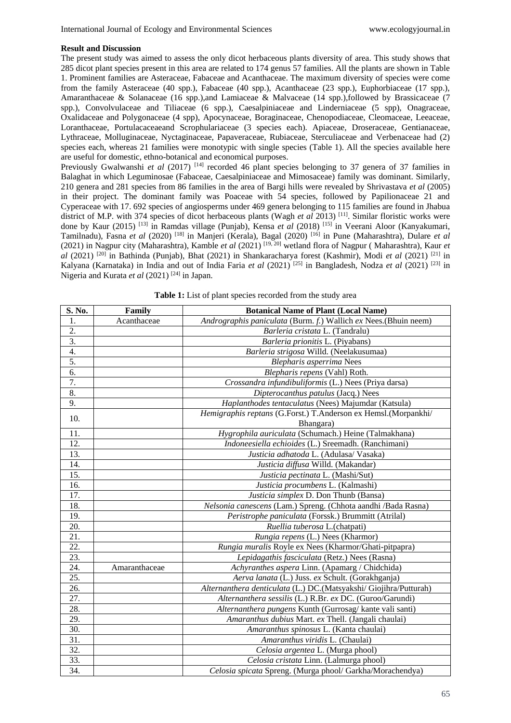#### **Result and Discussion**

The present study was aimed to assess the only dicot herbaceous plants diversity of area. This study shows that 285 dicot plant species present in this area are related to 174 genus 57 families. All the plants are shown in Table 1. Prominent families are Asteraceae, Fabaceae and Acanthaceae. The maximum diversity of species were come from the family Asteraceae (40 spp.), Fabaceae (40 spp.), Acanthaceae (23 spp.), Euphorbiaceae (17 spp.), Amaranthaceae & Solanaceae (16 spp.),and Lamiaceae & Malvaceae (14 spp.),followed by Brassicaceae (7 spp.), Convolvulaceae and Tiliaceae (6 spp.), Caesalpiniaceae and Linderniaceae (5 spp), Onagraceae, Oxalidaceae and Polygonaceae (4 spp), Apocynaceae, Boraginaceae, Chenopodiaceae, Cleomaceae, Leeaceae, Loranthaceae, Portulacaceaeand Scrophulariaceae (3 species each). Apiaceae, Droseraceae, Gentianaceae, Lythraceae, Molluginaceae, Nyctaginaceae, Papaveraceae, Rubiaceae, Sterculiaceae and Verbenaceae had (2) species each, whereas 21 families were monotypic with single species (Table 1). All the species available here are useful for domestic, ethno-botanical and economical purposes.

Previously Gwalwanshi *et al* (2017)<sup>[14]</sup> recorded 46 plant species belonging to 37 genera of 37 families in Balaghat in which Leguminosae (Fabaceae, Caesalpiniaceae and Mimosaceae) family was dominant. Similarly, 210 genera and 281 species from 86 families in the area of Bargi hills were revealed by Shrivastava *et al* (2005) in their project. The dominant family was Poaceae with 54 species, followed by Papilionaceae 21 and Cyperaceae with 17. 692 species of angiosperms under 469 genera belonging to 115 families are found in Jhabua district of M.P. with 374 species of dicot herbaceous plants (Wagh *et al* 2013)<sup>[11]</sup>. Similar floristic works were done by Kaur (2015) [13] in Ramdas village (Punjab), Kensa *et al* (2018) [15] in Veerani Aloor (Kanyakumari, Tamilnadu), Fasna *et al* (2020) [18] in Manjeri (Kerala), Bagal (2020) [16] in Pune (Maharashtra), Dulare *et al* (2021) in Nagpur city (Maharashtra), Kamble *et al* (2021) [19, 20] wetland flora of Nagpur ( Maharashtra), Kaur *et al* (2021) [20] in Bathinda (Punjab), Bhat (2021) in Shankaracharya forest (Kashmir), Modi *et al* (2021) [21] in Kalyana (Karnataka) in India and out of India Faria *et al* (2021) [25] in Bangladesh, Nodza *et al* (2021) [23] in Nigeria and Kurata *et al* (2021) [24] in Japan.

| S. No.            | Family        | <b>Botanical Name of Plant (Local Name)</b>                                 |
|-------------------|---------------|-----------------------------------------------------------------------------|
| 1.                | Acanthaceae   | Andrographis paniculata (Burm. f.) Wallich ex Nees. (Bhuin neem)            |
| 2.                |               | Barleria cristata L. (Tandralu)                                             |
| $\overline{3}$ .  |               | Barleria prionitis L. (Piyabans)                                            |
| $\overline{4}$ .  |               | Barleria strigosa Willd. (Neelakusumaa)                                     |
| 5.                |               | Blepharis asperrima Nees                                                    |
| 6.                |               | Blepharis repens (Vahl) Roth.                                               |
| 7.                |               | Crossandra infundibuliformis (L.) Nees (Priya darsa)                        |
| 8.                |               | Dipterocanthus patulus (Jacq.) Nees                                         |
| 9.                |               | Haplanthodes tentaculatus (Nees) Majumdar (Katsula)                         |
| 10.               |               | Hemigraphis reptans (G.Forst.) T.Anderson ex Hemsl.(Morpankhi/<br>Bhangara) |
| 11.               |               | Hygrophila auriculata (Schumach.) Heine (Talmakhana)                        |
| 12.               |               | Indoneesiella echioides (L.) Sreemadh. (Ranchimani)                         |
| 13.               |               | Justicia adhatoda L. (Adulasa/Vasaka)                                       |
| 14.               |               | Justicia diffusa Willd. (Makandar)                                          |
| 15.               |               | Justicia pectinata L. (Mashi/Sut)                                           |
| 16.               |               | Justicia procumbens L. (Kalmashi)                                           |
| 17.               |               | Justicia simplex D. Don Thunb (Bansa)                                       |
| 18.               |               | Nelsonia canescens (Lam.) Spreng. (Chhota aandhi /Bada Rasna)               |
| 19.               |               | Peristrophe paniculata (Forssk.) Brummitt (Atrilal)                         |
| 20.               |               | Ruellia tuberosa L. (chatpati)                                              |
| 21.               |               | Rungia repens (L.) Nees (Kharmor)                                           |
| 22.               |               | Rungia muralis Royle ex Nees (Kharmor/Ghati-pitpapra)                       |
| $\overline{23}$ . |               | Lepidagathis fasciculata (Retz.) Nees (Rasna)                               |
| 24.               | Amaranthaceae | Achyranthes aspera Linn. (Apamarg / Chidchida)                              |
| 25.               |               | Aerva lanata (L.) Juss. ex Schult. (Gorakhganja)                            |
| 26.               |               | Alternanthera denticulata (L.) DC.(Matsyakshi/ Giojihra/Putturah)           |
| 27.               |               | Alternanthera sessilis (L.) R.Br. ex DC. (Guroo/Garundi)                    |
| 28.               |               | Alternanthera pungens Kunth (Gurrosag/ kante vali santi)                    |
| 29.               |               | Amaranthus dubius Mart. ex Thell. (Jangali chaulai)                         |
| 30.               |               | Amaranthus spinosus L. (Kanta chaulai)                                      |
| 31.               |               | Amaranthus viridis L. (Chaulai)                                             |
| 32.               |               | Celosia argentea L. (Murga phool)                                           |
| 33.               |               | Celosia cristata Linn. (Lalmurga phool)                                     |
| 34.               |               | Celosia spicata Spreng. (Murga phool/ Garkha/Morachendya)                   |

Table 1: List of plant species recorded from the study area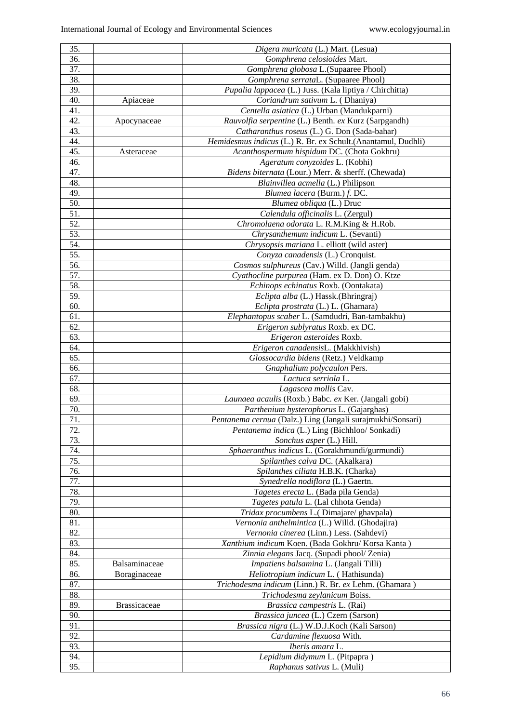| 35.               |                     | Digera muricata (L.) Mart. (Lesua)                            |
|-------------------|---------------------|---------------------------------------------------------------|
| 36.               |                     | Gomphrena celosioides Mart.                                   |
| 37.               |                     | Gomphrena globosa L.(Supaaree Phool)                          |
| 38.               |                     | Gomphrena serrataL. (Supaaree Phool)                          |
| 39.               |                     | Pupalia lappacea (L.) Juss. (Kala liptiya / Chirchitta)       |
| 40.               | Apiaceae            | Coriandrum sativum L. (Dhaniya)                               |
| 41.               |                     | Centella asiatica (L.) Urban (Mandukparni)                    |
| 42.               | Apocynaceae         | Rauvolfia serpentine (L.) Benth. ex Kurz (Sarpgandh)          |
| 43.               |                     | Catharanthus roseus (L.) G. Don (Sada-bahar)                  |
| 44.               |                     | Hemidesmus indicus (L.) R. Br. ex Schult. (Anantamul, Dudhli) |
| 45.               |                     | Acanthospermum hispidum DC. (Chota Gokhru)                    |
| 46.               | Asteraceae          |                                                               |
| 47.               |                     | Ageratum conyzoides L. (Kobhi)                                |
| 48.               |                     | Bidens biternata (Lour.) Merr. & sherff. (Chewada)            |
|                   |                     | Blainvillea acmella (L.) Philipson                            |
| 49.<br>50.        |                     | Blumea lacera (Burm.) f. DC.                                  |
|                   |                     | Blumea obliqua (L.) Druc                                      |
| 51.               |                     | Calendula officinalis L. (Zergul)                             |
| 52.               |                     | Chromolaena odorata L. R.M.King & H.Rob.                      |
| 53.               |                     | Chrysanthemum indicum L. (Sevanti)                            |
| 54.               |                     | Chrysopsis mariana L. elliott (wild aster)                    |
| $\overline{55}$ . |                     | Conyza canadensis (L.) Cronquist.                             |
| 56.               |                     | Cosmos sulphureus (Cav.) Willd. (Jangli genda)                |
| 57.               |                     | Cyathocline purpurea (Ham. ex D. Don) O. Ktze                 |
| 58.               |                     | Echinops echinatus Roxb. (Oontakata)                          |
| 59.               |                     | Eclipta alba (L.) Hassk.(Bhringraj)                           |
| 60.               |                     | Eclipta prostrata (L.) L. (Ghamara)                           |
| 61.               |                     | Elephantopus scaber L. (Samdudri, Ban-tambakhu)               |
| 62.               |                     | Erigeron sublyratus Roxb. ex DC.                              |
| 63.               |                     | Erigeron asteroides Roxb.                                     |
| 64.               |                     | Erigeron canadensisL. (Makkhivish)                            |
| 65.               |                     | Glossocardia bidens (Retz.) Veldkamp                          |
| 66.               |                     | Gnaphalium polycaulon Pers.                                   |
| 67.               |                     | Lactuca serriola L.                                           |
| 68.               |                     | Lagascea mollis Cav.                                          |
| 69.               |                     | Launaea acaulis (Roxb.) Babc. ex Ker. (Jangali gobi)          |
| 70.               |                     | Parthenium hysterophorus L. (Gajarghas)                       |
| 71.               |                     | Pentanema cernua (Dalz.) Ling (Jangali surajmukhi/Sonsari)    |
| 72.               |                     | Pentanema indica (L.) Ling (Bichhloo/ Sonkadi)                |
| 73.               |                     | Sonchus asper (L.) Hill.                                      |
| 74.               |                     | Sphaeranthus indicus L. (Gorakhmundi/gurmundi)                |
| 75.               |                     | Spilanthes calva DC. (Akalkara)                               |
| 76.               |                     | Spilanthes ciliata H.B.K. (Charka)                            |
| 77.               |                     | Synedrella nodiflora (L.) Gaertn.                             |
| 78.               |                     | Tagetes erecta L. (Bada pila Genda)                           |
| 79.               |                     | Tagetes patula L. (Lal chhota Genda)                          |
| 80.               |                     | Tridax procumbens L.(Dimajare/ghavpala)                       |
| 81.               |                     | Vernonia anthelmintica (L.) Willd. (Ghodajira)                |
| 82.               |                     | Vernonia cinerea (Linn.) Less. (Sahdevi)                      |
| 83.               |                     | Xanthium indicum Koen. (Bada Gokhru/ Korsa Kanta)             |
| 84.               |                     | Zinnia elegans Jacq. (Supadi phool/ Zenia)                    |
| 85.               | Balsaminaceae       | Impatiens balsamina L. (Jangali Tilli)                        |
| 86.               | Boraginaceae        | Heliotropium indicum L. (Hathisunda)                          |
| 87.               |                     | Trichodesma indicum (Linn.) R. Br. ex Lehm. (Ghamara)         |
| 88.               |                     | Trichodesma zeylanicum Boiss.                                 |
| 89.               | <b>Brassicaceae</b> | Brassica campestris L. (Rai)                                  |
| 90.               |                     | Brassica juncea (L.) Czern (Sarson)                           |
| 91.               |                     |                                                               |
|                   |                     | Brassica nigra (L.) W.D.J.Koch (Kali Sarson)                  |
| 92.               |                     | Cardamine flexuosa With.                                      |
| 93.               |                     | Iberis amara L.                                               |
| 94.               |                     | Lepidium didymum L. (Pitpapra)                                |
| 95.               |                     | Raphanus sativus L. (Muli)                                    |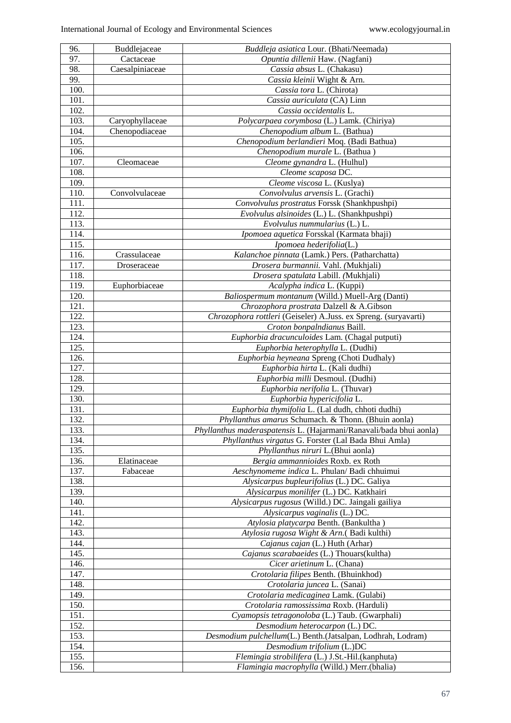| 96.  | Buddlejaceae    | Buddleja asiatica Lour. (Bhati/Neemada)                             |
|------|-----------------|---------------------------------------------------------------------|
| 97.  | Cactaceae       | Opuntia dillenii Haw. (Nagfani)                                     |
| 98.  | Caesalpiniaceae | Cassia absus L. (Chakasu)                                           |
| 99.  |                 | Cassia kleinii Wight & Arn.                                         |
| 100. |                 | Cassia tora L. (Chirota)                                            |
| 101. |                 | Cassia auriculata (CA) Linn                                         |
| 102. |                 | Cassia occidentalis L.                                              |
| 103. | Caryophyllaceae | Polycarpaea corymbosa (L.) Lamk. (Chiriya)                          |
| 104. | Chenopodiaceae  | Chenopodium album L. (Bathua)                                       |
| 105. |                 | Chenopodium berlandieri Moq. (Badi Bathua)                          |
| 106. |                 | Chenopodium murale L. (Bathua)                                      |
| 107. | Cleomaceae      |                                                                     |
| 108. |                 | Cleome gynandra L. (Hulhul)                                         |
|      |                 | Cleome scaposa DC.                                                  |
| 109. |                 | Cleome viscosa L. (Kuslya)                                          |
| 110. | Convolvulaceae  | Convolvulus arvensis L. (Grachi)                                    |
| 111. |                 | Convolvulus prostratus Forssk (Shankhpushpi)                        |
| 112. |                 | Evolvulus alsinoides (L.) L. (Shankhpushpi)                         |
| 113. |                 | Evolvulus nummularius $(L)$ .                                       |
| 114. |                 | Ipomoea aquetica Forsskal (Karmata bhaji)                           |
| 115. |                 | Ipomoea hederifolia(L.)                                             |
| 116. | Crassulaceae    | Kalanchoe pinnata (Lamk.) Pers. (Patharchatta)                      |
| 117. | Droseraceae     | Drosera burmannii. Vahl. (Mukhjali)                                 |
| 118. |                 | Drosera spatulata Labill. (Mukhjali)                                |
| 119. | Euphorbiaceae   | Acalypha indica L. (Kuppi)                                          |
| 120. |                 | Baliospermum montanum (Willd.) Muell-Arg (Danti)                    |
| 121. |                 | Chrozophora prostrata Dalzell & A.Gibson                            |
| 122. |                 | Chrozophora rottleri (Geiseler) A.Juss. ex Spreng. (suryavarti)     |
| 123. |                 | Croton bonpalndianus Baill.                                         |
| 124. |                 | Euphorbia dracunculoides Lam. (Chagal putputi)                      |
| 125. |                 | Euphorbia heterophylla L. (Dudhi)                                   |
| 126. |                 | Euphorbia heyneana Spreng (Choti Dudhaly)                           |
| 127. |                 | Euphorbia hirta L. (Kali dudhi)                                     |
| 128. |                 | Euphorbia milli Desmoul. (Dudhi)                                    |
| 129. |                 | Euphorbia nerifolia L. (Thuvar)                                     |
| 130. |                 | Euphorbia hypericifolia L.                                          |
| 131. |                 | Euphorbia thymifolia L. (Lal dudh, chhoti dudhi)                    |
| 132. |                 | Phyllanthus amarus Schumach. & Thonn. (Bhuin aonla)                 |
| 133. |                 | Phyllanthus maderaspatensis L. (Hajarmani/Ranavali/bada bhui aonla) |
| 134. |                 | Phyllanthus virgatus G. Forster (Lal Bada Bhui Amla)                |
| 135. |                 | Phyllanthus niruri L.(Bhui aonla)                                   |
| 136. |                 |                                                                     |
|      | Elatinaceae     | Bergia ammannioides Roxb. ex Roth                                   |
| 137. | Fabaceae        | Aeschynomeme indica L. Phulan/ Badi chhuimui                        |
| 138. |                 | Alysicarpus bupleurifolius (L.) DC. Galiya                          |
| 139. |                 | Alysicarpus monilifer (L.) DC. Katkhairi                            |
| 140. |                 | Alysicarpus rugosus (Willd.) DC. Jaingali gailiya                   |
| 141. |                 | Alysicarpus vaginalis (L.) DC.                                      |
| 142. |                 | Atylosia platycarpa Benth. (Bankultha)                              |
| 143. |                 | Atylosia rugosa Wight & Arn.(Badi kulthi)                           |
| 144. |                 | Cajanus cajan (L.) Huth (Arhar)                                     |
| 145. |                 | Cajanus scarabaeides (L.) Thouars (kultha)                          |
| 146. |                 | Cicer arietinum L. (Chana)                                          |
| 147. |                 | Crotolaria filipes Benth. (Bhuinkhod)                               |
| 148. |                 | Crotolaria juncea L. (Sanai)                                        |
| 149. |                 | Crotolaria medicaginea Lamk. (Gulabi)                               |
| 150. |                 | Crotolaria ramossissima Roxb. (Harduli)                             |
| 151. |                 | Cyamopsis tetragonoloba (L.) Taub. (Gwarphali)                      |
| 152. |                 | Desmodium heterocarpon (L.) DC.                                     |
| 153. |                 | Desmodium pulchellum(L.) Benth.(Jatsalpan, Lodhrah, Lodram)         |
| 154. |                 | Desmodium trifolium (L.)DC                                          |
| 155. |                 | Flemingia strobilifera (L.) J.St.-Hil.(kanphuta)                    |
| 156. |                 | Flamingia macrophylla (Willd.) Merr.(bhalia)                        |
|      |                 |                                                                     |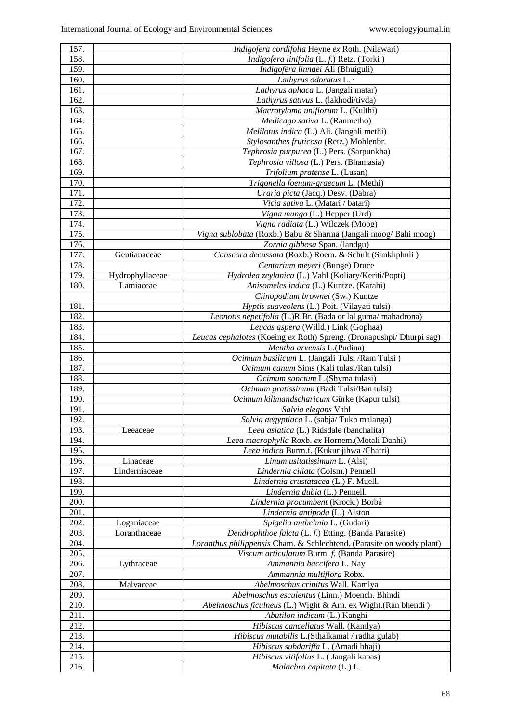| 157. |                 | Indigofera cordifolia Heyne ex Roth. (Nilawari)                       |
|------|-----------------|-----------------------------------------------------------------------|
| 158. |                 | Indigofera linifolia (L. f.) Retz. (Torki)                            |
| 159. |                 | <i>Indigofera linnaei</i> Ali (Bhuiguli)                              |
| 160. |                 | Lathyrus odoratus L. .                                                |
| 161. |                 | Lathyrus aphaca L. (Jangali matar)                                    |
| 162. |                 | Lathyrus sativus L. (lakhodi/tivda)                                   |
| 163. |                 | Macrotyloma uniflorum L. (Kulthi)                                     |
| 164. |                 | Medicago sativa L. (Ranmetho)                                         |
| 165. |                 | Melilotus indica (L.) Ali. (Jangali methi)                            |
| 166. |                 | Stylosanthes fruticosa (Retz.) Mohlenbr.                              |
| 167. |                 | Tephrosia purpurea (L.) Pers. (Sarpunkha)                             |
| 168. |                 | Tephrosia villosa (L.) Pers. (Bhamasia)                               |
| 169. |                 | Trifolium pratense L. (Lusan)                                         |
| 170. |                 | Trigonella foenum-graecum L. (Methi)                                  |
| 171. |                 | Uraria picta (Jacq.) Desv. (Dabra)                                    |
| 172. |                 | Vicia sativa L. (Matari / batari)                                     |
| 173. |                 | Vigna mungo (L.) Hepper (Urd)                                         |
| 174. |                 | Vigna radiata (L.) Wilczek (Moog)                                     |
| 175. |                 | Vigna sublobata (Roxb.) Babu & Sharma (Jangali moog/Bahi moog)        |
| 176. |                 | Zornia gibbosa Span. (landgu)                                         |
| 177. | Gentianaceae    | Canscora decussata (Roxb.) Roem. & Schult (Sankhphuli)                |
| 178. |                 | Centarium meyeri (Bunge) Druce                                        |
| 179. | Hydrophyllaceae | Hydrolea zeylanica (L.) Vahl (Koliary/Keriti/Popti)                   |
| 180. | Lamiaceae       | Anisomeles indica (L.) Kuntze. (Karahi)                               |
|      |                 | Clinopodium brownei (Sw.) Kuntze                                      |
| 181. |                 | Hyptis suaveolens (L.) Poit. (Vilayati tulsi)                         |
| 182. |                 | Leonotis nepetifolia (L.)R.Br. (Bada or lal guma/mahadrona)           |
| 183. |                 | Leucas aspera (Willd.) Link (Gophaa)                                  |
| 184. |                 | Leucas cephalotes (Koeing ex Roth) Spreng. (Dronapushpi/ Dhurpi sag)  |
| 185. |                 | Mentha arvensis L.(Pudina)                                            |
| 186. |                 | Ocimum basilicum L. (Jangali Tulsi / Ram Tulsi)                       |
| 187. |                 | Ocimum canum Sims (Kali tulasi/Ran tulsi)                             |
| 188. |                 | Ocimum sanctum L.(Shyma tulasi)                                       |
| 189. |                 | Ocimum gratissimum (Badi Tulsi/Ban tulsi)                             |
| 190. |                 | Ocimum kilimandscharicum Gürke (Kapur tulsi)                          |
| 191. |                 | Salvia elegans Vahl                                                   |
| 192. |                 | Salvia aegyptiaca L. (sabja/Tukh malanga)                             |
| 193. | Leeaceae        | Leea asiatica (L.) Ridsdale (banchalita)                              |
| 194. |                 | Leea macrophylla Roxb. ex Hornem.(Motali Danhi)                       |
| 195. |                 | Leea indica Burm.f. (Kukur jihwa /Chatri)                             |
| 196. | Linaceae        | Linum usitatissimum L. (Alsi)                                         |
| 197. | Linderniaceae   | Lindernia ciliata (Colsm.) Pennell                                    |
| 198. |                 | Lindernia crustatacea (L.) F. Muell.                                  |
| 199. |                 | Lindernia dubia (L.) Pennell.                                         |
| 200. |                 | Lindernia procumbent (Krock.) Borbá                                   |
| 201. |                 | Lindernia antipoda (L.) Alston                                        |
| 202. | Loganiaceae     | Spigelia anthelmia L. (Gudari)                                        |
| 203. | Loranthaceae    | Dendrophthoe falcta (L. f.) Etting. (Banda Parasite)                  |
| 204. |                 | Loranthus philippensis Cham. & Schlechtend. (Parasite on woody plant) |
| 205. |                 | Viscum articulatum Burm. f. (Banda Parasite)                          |
| 206. | Lythraceae      | Ammannia baccifera L. Nay                                             |
| 207. |                 | Ammannia multiflora Robx.                                             |
| 208. | Malvaceae       | Abelmoschus crinitus Wall. Kamlya                                     |
| 209. |                 | Abelmoschus esculentus (Linn.) Moench. Bhindi                         |
| 210. |                 | Abelmoschus ficulneus (L.) Wight & Arn. ex Wight.(Ran bhendi)         |
| 211. |                 | Abutilon indicum (L.) Kanghi                                          |
| 212. |                 | Hibiscus cancellatus Wall. (Kamlya)                                   |
| 213. |                 | Hibiscus mutabilis L.(Sthalkamal / radha gulab)                       |
| 214. |                 |                                                                       |
|      |                 | Hibiscus subdariffa L. (Amadi bhaji)                                  |
| 215. |                 | Hibiscus vitifolius L. (Jangali kapas)                                |
| 216. |                 | Malachra capitata (L.) L.                                             |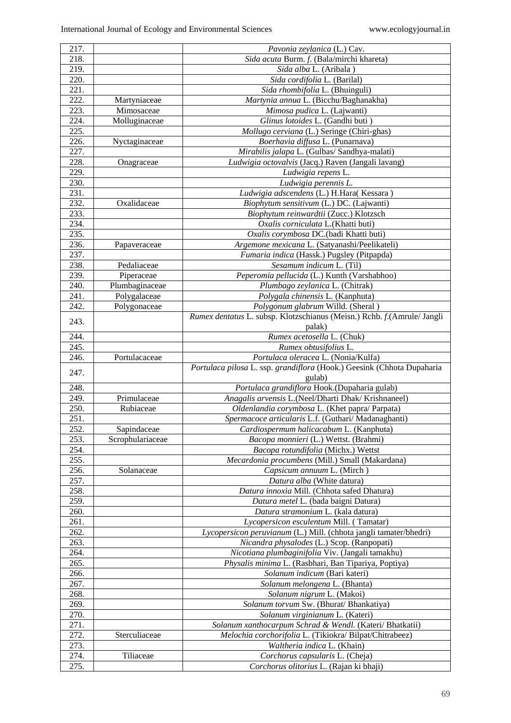| 217.         |                  | Pavonia zeylanica (L.) Cav.                                                |
|--------------|------------------|----------------------------------------------------------------------------|
| 218.         |                  | Sida acuta Burm. f. (Bala/mirchi khareta)                                  |
| 219.         |                  | Sida alba L. (Aribala)                                                     |
| 220.         |                  | Sida cordifolia L. (Barilal)                                               |
| 221.         |                  | Sida rhombifolia L. (Bhuinguli)                                            |
| 222.         | Martyniaceae     | Martynia annua L. (Bicchu/Baghanakha)                                      |
| 223.         | Mimosaceae       | Mimosa pudica L. (Lajwanti)                                                |
| 224.         | Molluginaceae    | Glinus lotoides L. (Gandhi buti)                                           |
| 225.         |                  | Mollugo cerviana (L.) Seringe (Chiri-ghas)                                 |
| 226.         | Nyctaginaceae    | Boerhavia diffusa L. (Punarnava)                                           |
| 227.         |                  | Mirabilis jalapa L. (Gulbas/ Sandhya-malati)                               |
| 228.         | Onagraceae       | Ludwigia octovalvis (Jacq.) Raven (Jangali lavang)                         |
| 229.         |                  | Ludwigia repens L.                                                         |
| 230.         |                  | Ludwigia perennis L.                                                       |
| 231.         |                  | Ludwigia adscendens (L.) H.Hara(Kessara)                                   |
| 232.         | Oxalidaceae      | Biophytum sensitivum (L.) DC. (Lajwanti)                                   |
| 233.         |                  |                                                                            |
| 234.         |                  | Biophytum reinwardtii (Zucc.) Klotzsch                                     |
|              |                  | Oxalis corniculata L.(Khatti buti)                                         |
| 235.         |                  | Oxalis corymbosa DC.(badi Khatti buti)                                     |
| 236.         | Papaveraceae     | Argemone mexicana L. (Satyanashi/Peelikateli)                              |
| 237.         |                  | Fumaria indica (Hassk.) Pugsley (Pitpapda)                                 |
| 238.         | Pedaliaceae      | Sesamum indicum L. (Til)                                                   |
| 239.         | Piperaceae       | Peperomia pellucida (L.) Kunth (Varshabhoo)                                |
| 240.         | Plumbaginaceae   | Plumbago zeylanica L. (Chitrak)                                            |
| 241.         | Polygalaceae     | Polygala chinensis L. (Kanphuta)                                           |
| 242.         | Polygonaceae     | Polygonum glabrum Willd. (Sheral)                                          |
| 243.         |                  | Rumex dentatus L. subsp. Klotzschianus (Meisn.) Rchb. f. (Amrule/ Jangli   |
|              |                  | palak)                                                                     |
| 244.         |                  | Rumex acetosella L. (Chuk)                                                 |
| 245.         |                  | Rumex obtusifolius L.                                                      |
| 246.         | Portulacaceae    | Portulaca oleracea L. (Nonia/Kulfa)                                        |
|              |                  | Portulaca pilosa L. ssp. grandiflora (Hook.) Geesink (Chhota Dupaharia     |
|              |                  |                                                                            |
| 247.         |                  | gulab)                                                                     |
| 248.         |                  | Portulaca grandiflora Hook.(Dupaharia gulab)                               |
| 249.         | Primulaceae      | Anagalis arvensis L.(Neel/Dharti Dhak/ Krishnaneel)                        |
| 250.         | Rubiaceae        | Oldenlandia corymbosa L. (Khet papra/ Parpata)                             |
| 251.         |                  | Spermacoce articularis L.f. (Guthari/ Madanaghanti)                        |
| 252.         | Sapindaceae      | Cardiospermum halicacabum L. (Kanphuta)                                    |
| 253.         | Scrophulariaceae | Bacopa monnieri (L.) Wettst. (Brahmi)                                      |
| 254.         |                  | Bacopa rotundifolia (Michx.) Wettst                                        |
| 255.         |                  | Mecardonia procumbens (Mill.) Small (Makardana)                            |
| 256.         | Solanaceae       | Capsicum annuum L. (Mirch)                                                 |
| 257.         |                  | Datura alba (White datura)                                                 |
| 258.         |                  | Datura innoxia Mill. (Chhota safed Dhatura)                                |
| 259.         |                  | Datura metel L. (bada baigni Datura)                                       |
| 260.         |                  | Datura stramonium L. (kala datura)                                         |
|              |                  |                                                                            |
| 261.         |                  | Lycopersicon esculentum Mill. (Tamatar)                                    |
| 262.         |                  | Lycopersicon peruvianum (L.) Mill. (chhota jangli tamater/bhedri)          |
| 263.         |                  | Nicandra physalodes (L.) Scop. (Ranpopati)                                 |
| 264.         |                  | Nicotiana plumbaginifolia Viv. (Jangali tamakhu)                           |
| 265.         |                  | Physalis minima L. (Rasbhari, Ban Tipariya, Poptiya)                       |
| 266.         |                  | Solanum indicum (Bari kateri)                                              |
| 267.         |                  | Solanum melongena L. (Bhanta)                                              |
| 268.         |                  | Solanum nigrum L. (Makoi)                                                  |
| 269.         |                  | Solanum torvum Sw. (Bhurat/Bhankatiya)                                     |
| 270.         |                  | Solanum virginianum L. (Kateri)                                            |
| 271.         |                  | Solanum xanthocarpum Schrad & Wendl. (Kateri/ Bhatkatii)                   |
| 272.         | Sterculiaceae    | Melochia corchorifolia L. (Tikiokra/Bilpat/Chitrabeez)                     |
| 273.         |                  | Waltheria indica L. (Khain)                                                |
| 274.<br>275. | Tiliaceae        | Corchorus capsularis L. (Cheja)<br>Corchorus olitorius L. (Rajan ki bhaji) |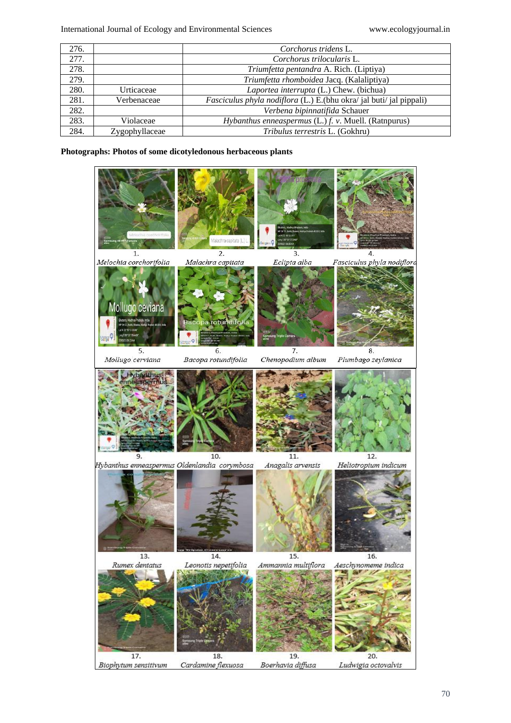| 276. |                | Corchorus tridens L.                                                       |
|------|----------------|----------------------------------------------------------------------------|
| 277. |                | Corchorus trilocularis L.                                                  |
| 278. |                | Triumfetta pentandra A. Rich. (Liptiya)                                    |
| 279. |                | Triumfetta rhomboidea Jacq. (Kalaliptiya)                                  |
| 280. | Urticaceae     | Laportea interrupta (L.) Chew. (bichua)                                    |
| 281. | Verbenaceae    | <i>Fasciculus phyla nodiflora</i> (L.) E.(bhu okra/ jal buti/ jal pippali) |
| 282. |                | Verbena bipinnatifida Schauer                                              |
| 283. | Violaceae      | <i>Hybanthus enneaspermus</i> $(L.)$ $f.$ $v.$ Muell. (Ratnpurus)          |
| 284. | Zygophyllaceae | Tribulus terrestris L. (Gokhru)                                            |

**Photographs: Photos of some dicotyledonous herbaceous plants**

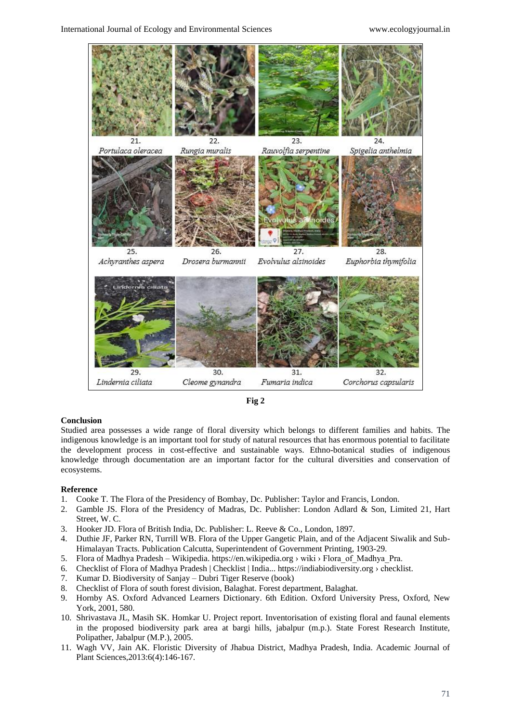



## **Conclusion**

Studied area possesses a wide range of floral diversity which belongs to different families and habits. The indigenous knowledge is an important tool for study of natural resources that has enormous potential to facilitate the development process in cost-effective and sustainable ways. Ethno-botanical studies of indigenous knowledge through documentation are an important factor for the cultural diversities and conservation of ecosystems.

#### **Reference**

- 1. Cooke T. The Flora of the Presidency of Bombay, Dc. Publisher: Taylor and Francis, London.
- 2. Gamble JS. Flora of the Presidency of Madras, Dc. Publisher: London Adlard & Son, Limited 21, Hart Street, W. C.
- 3. Hooker JD. Flora of British India, Dc. Publisher: L. Reeve & Co., London, 1897.
- 4. Duthie JF, Parker RN, Turrill WB. Flora of the Upper Gangetic Plain, and of the Adjacent Siwalik and Sub-Himalayan Tracts. Publication Calcutta, Superintendent of Government Printing, 1903-29.
- 5. Flora of Madhya Pradesh Wikipedia. https://en.wikipedia.org › wiki › Flora\_of\_Madhya\_Pra.
- 6. Checklist of Flora of Madhya Pradesh | Checklist | India... https://indiabiodiversity.org › checklist.
- 7. Kumar D. Biodiversity of Sanjay Dubri Tiger Reserve (book)
- 8. Checklist of Flora of south forest division, Balaghat. Forest department, Balaghat.
- 9. Hornby AS. Oxford Advanced Learners Dictionary. 6th Edition. Oxford University Press, Oxford, New York, 2001, 580.
- 10. Shrivastava JL, Masih SK. Homkar U. Project report. Inventorisation of existing floral and faunal elements in the proposed biodiversity park area at bargi hills, jabalpur (m.p.). State Forest Research Institute, Polipather, Jabalpur (M.P.), 2005.
- 11. Wagh VV, Jain AK. Floristic Diversity of Jhabua District, Madhya Pradesh, India. Academic Journal of Plant Sciences,2013:6(4):146-167.